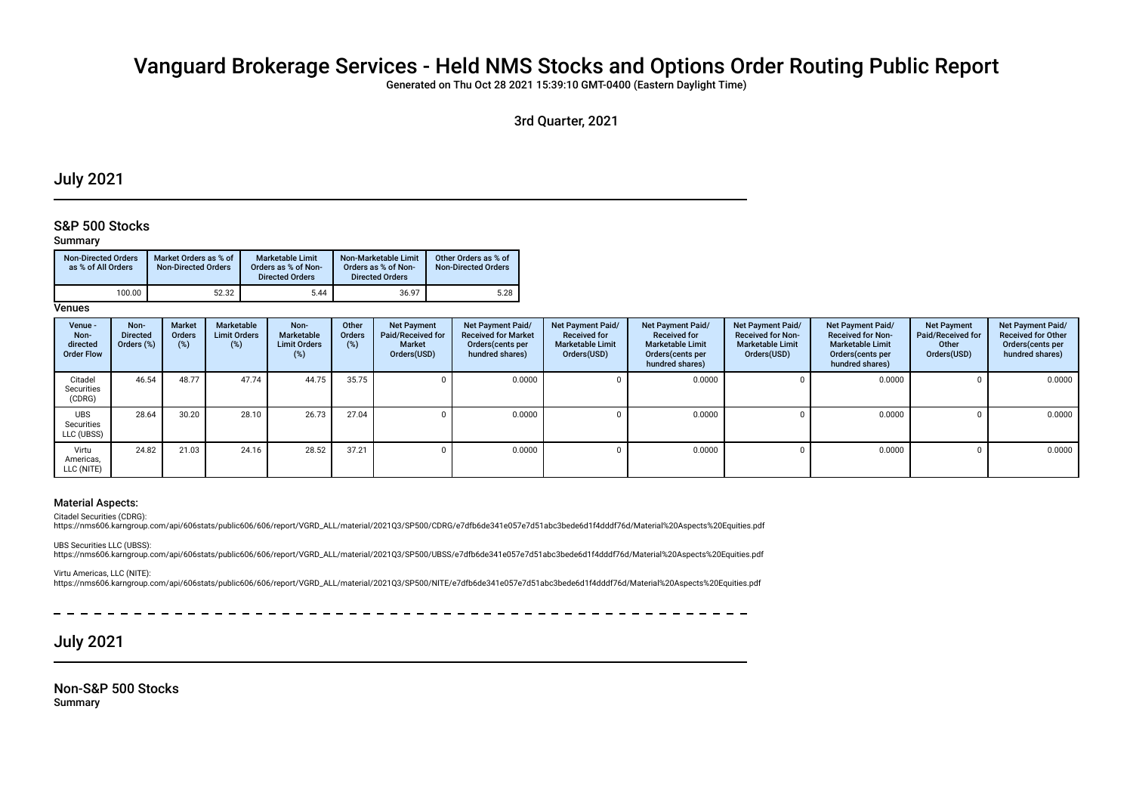# Vanguard Brokerage Services - Held NMS Stocks and Options Order Routing Public Report

Generated on Thu Oct 28 2021 15:39:10 GMT-0400 (Eastern Daylight Time)

3rd Quarter, 2021

## July 2021

### S&P 500 Stocks

### Summary

| <b>Non-Directed Orders</b><br>as % of All Orders | Market Orders as % of<br><b>Non-Directed Orders</b> | Marketable Limit<br>Orders as % of Non-<br><b>Directed Orders</b> | Non-Marketable Limit<br>Orders as % of Non-<br><b>Directed Orders</b> | Other Orders as % of<br><b>Non-Directed Orders</b> |
|--------------------------------------------------|-----------------------------------------------------|-------------------------------------------------------------------|-----------------------------------------------------------------------|----------------------------------------------------|
| 100.00                                           | 52.32                                               | 5.44                                                              | 36.97                                                                 | 5.28                                               |

**Venues** 

| Venue -<br>Non-<br>directed<br><b>Order Flow</b> | Non-<br><b>Directed</b><br>Orders (%) | <b>Market</b><br><b>Orders</b><br>(%) | Marketable<br><b>Limit Orders</b><br>(%) | Non-<br>Marketable<br><b>Limit Orders</b><br>(%) | Other<br><b>Orders</b><br>(%) | <b>Net Payment</b><br>Paid/Received for<br><b>Market</b><br>Orders(USD) | <b>Net Payment Paid/</b><br><b>Received for Market</b><br>Orders(cents per<br>hundred shares) | Net Payment Paid/<br><b>Received for</b><br><b>Marketable Limit</b><br>Orders(USD) | Net Payment Paid/<br><b>Received for</b><br><b>Marketable Limit</b><br>Orders (cents per<br>hundred shares) | Net Payment Paid/<br><b>Received for Non-</b><br><b>Marketable Limit</b><br>Orders(USD) | Net Payment Paid/<br><b>Received for Non-</b><br><b>Marketable Limit</b><br>Orders (cents per<br>hundred shares) | <b>Net Payment</b><br>Paid/Received for<br>Other<br>Orders(USD) | Net Payment Paid/<br><b>Received for Other</b><br>Orders(cents per<br>hundred shares) |
|--------------------------------------------------|---------------------------------------|---------------------------------------|------------------------------------------|--------------------------------------------------|-------------------------------|-------------------------------------------------------------------------|-----------------------------------------------------------------------------------------------|------------------------------------------------------------------------------------|-------------------------------------------------------------------------------------------------------------|-----------------------------------------------------------------------------------------|------------------------------------------------------------------------------------------------------------------|-----------------------------------------------------------------|---------------------------------------------------------------------------------------|
| Citadel<br>Securities<br>(CDRG)                  | 46.54                                 | 48.77                                 | 47.74                                    | 44.75                                            | 35.75                         |                                                                         | 0.0000                                                                                        |                                                                                    | 0.0000                                                                                                      |                                                                                         | 0.0000                                                                                                           |                                                                 | 0.0000                                                                                |
| <b>UBS</b><br>Securities<br>LLC (UBSS)           | 28.64                                 | 30.20                                 | 28.10                                    | 26.73                                            | 27.04                         |                                                                         | 0.0000                                                                                        |                                                                                    | 0.0000                                                                                                      |                                                                                         | 0.0000                                                                                                           |                                                                 | 0.0000                                                                                |
| Virtu<br>Americas,<br>LLC (NITE)                 | 24.82                                 | 21.03                                 | 24.16                                    | 28.52                                            | 37.21                         |                                                                         | 0.0000                                                                                        |                                                                                    | 0.0000                                                                                                      |                                                                                         | 0.0000                                                                                                           |                                                                 | 0.0000                                                                                |

### Material Aspects:

Citadel Securities (CDRG):

https://nms606.karngroup.com/api/606stats/public606/606/report/VGRD\_ALL/material/2021Q3/SP500/CDRG/e7dfb6de341e057e7d51abc3bede6d1f4dddf76d/Material%20Aspects%20Equities.pdf

UBS Securities LLC (UBSS): https://nms606.karngroup.com/api/606stats/public606/606/report/VGRD\_ALL/material/2021Q3/SP500/UBSS/e7dfb6de341e057e7d51abc3bede6d1f4dddf76d/Material%20Aspects%20Equities.pdf

Virtu Americas, LLC (NITE): https://nms606.karngroup.com/api/606stats/public606/606/report/VGRD\_ALL/material/2021Q3/SP500/NITE/e7dfb6de341e057e7d51abc3bede6d1f4dddf76d/Material%20Aspects%20Equities.pdf

July 2021

Non-S&P 500 Stocks Summary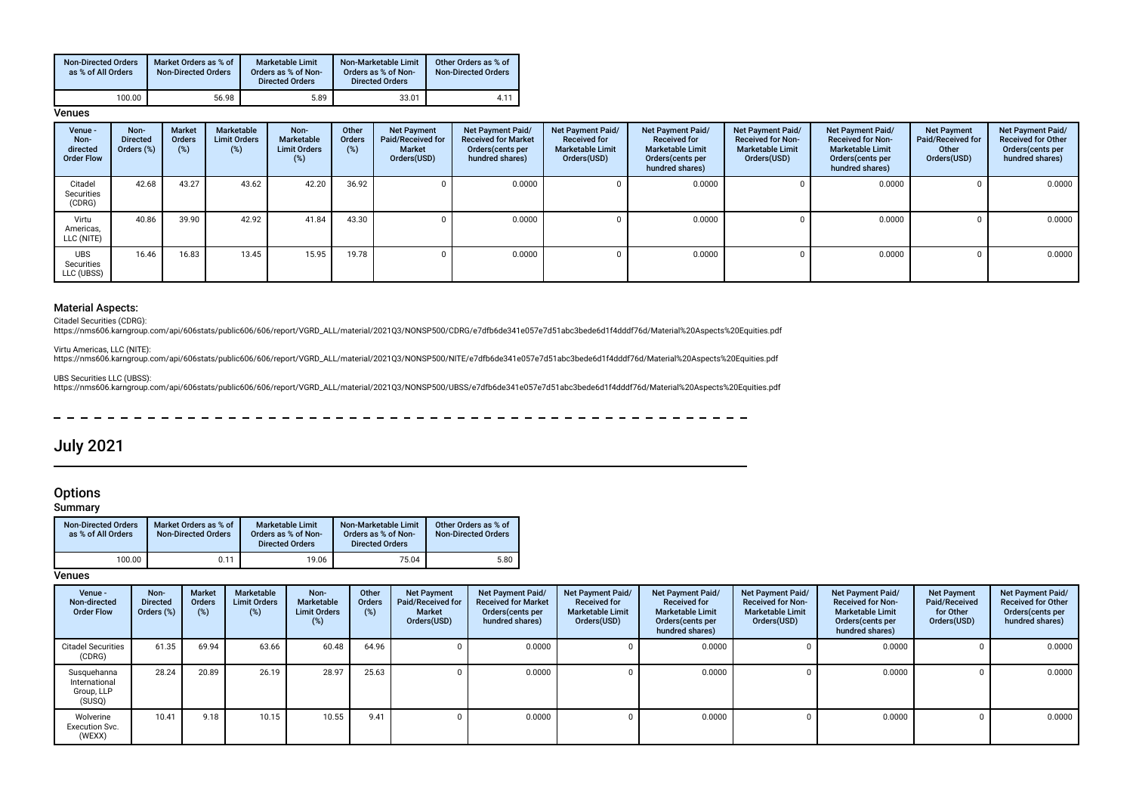| <b>Non-Directed Orders</b><br>as % of All Orders | Market Orders as % of<br><b>Non-Directed Orders</b> | <b>Marketable Limit</b><br>Orders as % of Non-<br><b>Directed Orders</b> | Non-Marketable Limit<br>Orders as % of Non-<br><b>Directed Orders</b> | Other Orders as % of<br><b>Non-Directed Orders</b> |
|--------------------------------------------------|-----------------------------------------------------|--------------------------------------------------------------------------|-----------------------------------------------------------------------|----------------------------------------------------|
| 100.00                                           | 56.98                                               | 5.89                                                                     | 33.01                                                                 | $4.1^{\circ}$                                      |

#### **Venues**

| Venue -<br>Non-<br>directed<br><b>Order Flow</b> | Non-<br><b>Directed</b><br>Orders (%) | <b>Market</b><br><b>Orders</b><br>(%) | Marketable<br><b>Limit Orders</b><br>(%) | Non-<br>Marketable<br><b>Limit Orders</b><br>(%) | Other<br>Orders<br>(%) | <b>Net Payment</b><br>Paid/Received for<br><b>Market</b><br>Orders(USD) | Net Payment Paid/<br><b>Received for Market</b><br>Orders(cents per<br>hundred shares) | Net Payment Paid/<br><b>Received for</b><br><b>Marketable Limit</b><br>Orders(USD) | Net Payment Paid/<br><b>Received for</b><br><b>Marketable Limit</b><br>Orders(cents per<br>hundred shares) | Net Payment Paid/<br><b>Received for Non-</b><br><b>Marketable Limit</b><br>Orders(USD) | <b>Net Payment Paid/</b><br><b>Received for Non-</b><br><b>Marketable Limit</b><br>Orders (cents per<br>hundred shares) | <b>Net Payment</b><br>Paid/Received for<br>Other<br>Orders(USD) | <b>Net Payment Paid/</b><br><b>Received for Other</b><br>Orders(cents per<br>hundred shares) |
|--------------------------------------------------|---------------------------------------|---------------------------------------|------------------------------------------|--------------------------------------------------|------------------------|-------------------------------------------------------------------------|----------------------------------------------------------------------------------------|------------------------------------------------------------------------------------|------------------------------------------------------------------------------------------------------------|-----------------------------------------------------------------------------------------|-------------------------------------------------------------------------------------------------------------------------|-----------------------------------------------------------------|----------------------------------------------------------------------------------------------|
| Citadel<br>Securities<br>(CDRG)                  | 42.68                                 | 43.27                                 | 43.62                                    | 42.20                                            | 36.92                  |                                                                         | 0.0000                                                                                 |                                                                                    | 0.0000                                                                                                     |                                                                                         | 0.0000                                                                                                                  |                                                                 | 0.0000                                                                                       |
| Virtu<br>Americas,<br>LLC (NITE)                 | 40.86                                 | 39.90                                 | 42.92                                    | 41.84                                            | 43.30                  |                                                                         | 0.0000                                                                                 |                                                                                    | 0.0000                                                                                                     |                                                                                         | 0.0000                                                                                                                  |                                                                 | 0.0000                                                                                       |
| <b>UBS</b><br>Securities<br>LLC (UBSS)           | 16.46                                 | 16.83                                 | 13.45                                    | 15.95                                            | 19.78                  |                                                                         | 0.0000                                                                                 |                                                                                    | 0.0000                                                                                                     |                                                                                         | 0.0000                                                                                                                  |                                                                 | $0.0000$                                                                                     |

### Material Aspects:

Citadel Securities (CDRG):<br>https://nms606.karngroup.com/api/606stats/public606/606/report/VGRD\_ALL/material/2021Q3/NONSP500/CDRG/e7dfb6de341e057e7d51abc3bede6d1f4dddf76d/Material%20Aspects%20Equities.pdf

Virtu Americas, LLC (NITE):

https://nms606.karngroup.com/api/606stats/public606/606/report/VGRD\_ALL/material/2021Q3/NONSP500/NITE/e7dfb6de341e057e7d51abc3bede6d1f4dddf76d/Material%20Aspects%20Equities.pdf

UBS Securities LLC (UBSS):

https://nms606.karngroup.com/api/606stats/public606/606/report/VGRD\_ALL/material/2021Q3/NONSP500/UBSS/e7dfb6de341e057e7d51abc3bede6d1f4dddf76d/Material%20Aspects%20Equities.pdf

 $\frac{1}{2}$  $\overline{\phantom{0}}$ 

## July 2021

## **Options**

Summary

| <b>Non-Directed Orders</b><br>as % of All Orders | Market Orders as % of<br><b>Non-Directed Orders</b> | <b>Marketable Limit</b><br>Orders as % of Non-<br><b>Directed Orders</b> | Non-Marketable Limit<br>Orders as % of Non-<br><b>Directed Orders</b> | Other Orders as % of<br><b>Non-Directed Orders</b> |
|--------------------------------------------------|-----------------------------------------------------|--------------------------------------------------------------------------|-----------------------------------------------------------------------|----------------------------------------------------|
| 100.00                                           | 0.11                                                | 19.06                                                                    | 75.04                                                                 | 5.80                                               |

**Venues** 

| Venue -<br>Non-directed<br><b>Order Flow</b>         | Non-<br><b>Directed</b><br>Orders (%) | <b>Market</b><br><b>Orders</b><br>(%) | Marketable<br><b>Limit Orders</b><br>(%) | Non-<br>Marketable<br><b>Limit Orders</b><br>(%) | Other<br><b>Orders</b><br>$(\%)$ | <b>Net Payment</b><br>Paid/Received for<br><b>Market</b><br>Orders(USD) | Net Payment Paid/<br><b>Received for Market</b><br>Orders (cents per<br>hundred shares) | Net Payment Paid/<br><b>Received for</b><br><b>Marketable Limit</b><br>Orders(USD) | Net Payment Paid/<br><b>Received for</b><br><b>Marketable Limit</b><br>Orders (cents per<br>hundred shares) | Net Payment Paid/<br><b>Received for Non-</b><br><b>Marketable Limit</b><br>Orders(USD) | Net Payment Paid/<br><b>Received for Non-</b><br><b>Marketable Limit</b><br>Orders (cents per<br>hundred shares) | <b>Net Payment</b><br>Paid/Received<br>for Other<br>Orders(USD) | Net Payment Paid/<br><b>Received for Other</b><br>Orders(cents per<br>hundred shares) |
|------------------------------------------------------|---------------------------------------|---------------------------------------|------------------------------------------|--------------------------------------------------|----------------------------------|-------------------------------------------------------------------------|-----------------------------------------------------------------------------------------|------------------------------------------------------------------------------------|-------------------------------------------------------------------------------------------------------------|-----------------------------------------------------------------------------------------|------------------------------------------------------------------------------------------------------------------|-----------------------------------------------------------------|---------------------------------------------------------------------------------------|
| <b>Citadel Securities</b><br>(CDRG)                  | 61.35                                 | 69.94                                 | 63.66                                    | 60.48                                            | 64.96                            |                                                                         | 0.0000                                                                                  |                                                                                    | 0.0000                                                                                                      |                                                                                         | 0.0000                                                                                                           |                                                                 | 0.0000                                                                                |
| Susquehanna<br>International<br>Group, LLP<br>(SUSQ) | 28.24                                 | 20.89                                 | 26.19                                    | 28.97                                            | 25.63                            |                                                                         | 0.0000                                                                                  |                                                                                    | 0.0000                                                                                                      |                                                                                         | 0.0000                                                                                                           |                                                                 | 0.0000                                                                                |
| Wolverine<br><b>Execution Svc.</b><br>(WEXX)         | 10.41                                 | 9.18                                  | 10.15                                    | 10.55                                            | 9.41                             |                                                                         | 0.0000                                                                                  |                                                                                    | 0.0000                                                                                                      |                                                                                         | 0.0000                                                                                                           |                                                                 | 0.0000                                                                                |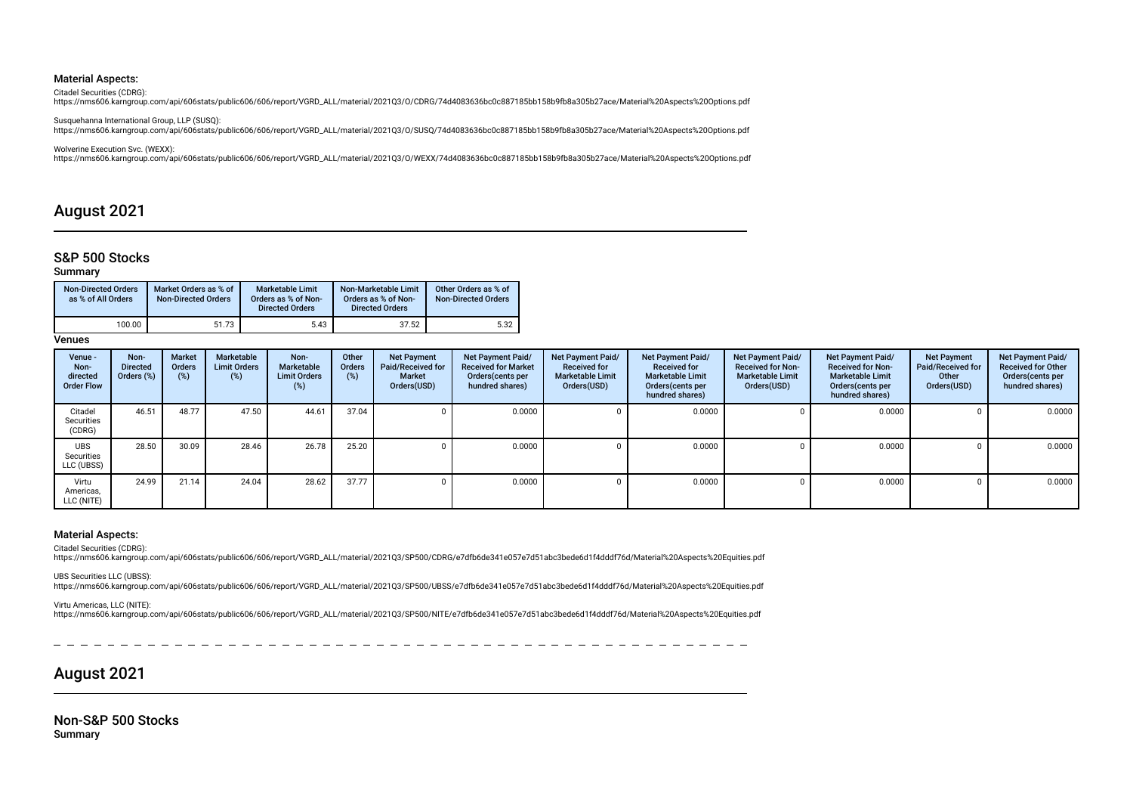#### Material Aspects:

Citadel Securities (CDRG):

https://nms606.karngroup.com/api/606stats/public606/606/report/VGRD\_ALL/material/2021Q3/O/CDRG/74d4083636bc0c887185bb158b9fb8a305b27ace/Material%20Aspects%20Options.pdf

Susquehanna International Group, LLP (SUSQ): https://nms606.karngroup.com/api/606stats/public606/606/report/VGRD\_ALL/material/2021Q3/O/SUSQ/74d4083636bc0c887185bb158b9fb8a305b27ace/Material%20Aspects%20Options.pdf

Wolverine Execution Svc. (WEXX):

https://nms606.karngroup.com/api/606stats/public606/606/report/VGRD\_ALL/material/2021Q3/O/WEXX/74d4083636bc0c887185bb158b9fb8a305b27ace/Material%20Aspects%20Options.pdf

## August 2021

### S&P 500 Stocks

### Summary

| <b>Non-Directed Orders</b><br>as % of All Orders | Market Orders as % of<br><b>Non-Directed Orders</b> | Marketable Limit<br>Orders as % of Non-<br><b>Directed Orders</b> | Non-Marketable Limit<br>Orders as % of Non-<br><b>Directed Orders</b> | Other Orders as % of<br><b>Non-Directed Orders</b> |
|--------------------------------------------------|-----------------------------------------------------|-------------------------------------------------------------------|-----------------------------------------------------------------------|----------------------------------------------------|
| 100.00                                           | 51.73                                               | 5.43                                                              | 37.52                                                                 | 5.32                                               |

Venues

| Venue -<br>Non-<br>directed<br><b>Order Flow</b> | Non-<br><b>Directed</b><br>Orders (%) | Market<br><b>Orders</b><br>(%) | Marketable<br><b>Limit Orders</b><br>$(\%)$ | Non-<br>Marketable<br><b>Limit Orders</b><br>(%) | Other<br>Orders<br>(%) | <b>Net Payment</b><br>Paid/Received for<br><b>Market</b><br>Orders(USD) | <b>Net Payment Paid/</b><br><b>Received for Market</b><br>Orders(cents per<br>hundred shares) | Net Payment Paid/<br><b>Received for</b><br><b>Marketable Limit</b><br>Orders(USD) | Net Payment Paid/<br><b>Received for</b><br><b>Marketable Limit</b><br>Orders(cents per<br>hundred shares) | Net Payment Paid/<br><b>Received for Non-</b><br><b>Marketable Limit</b><br>Orders(USD) | Net Payment Paid/<br><b>Received for Non-</b><br><b>Marketable Limit</b><br>Orders (cents per<br>hundred shares) | <b>Net Payment</b><br>Paid/Received for<br>Other<br>Orders(USD) | Net Payment Paid/<br><b>Received for Other</b><br>Orders(cents per<br>hundred shares) |
|--------------------------------------------------|---------------------------------------|--------------------------------|---------------------------------------------|--------------------------------------------------|------------------------|-------------------------------------------------------------------------|-----------------------------------------------------------------------------------------------|------------------------------------------------------------------------------------|------------------------------------------------------------------------------------------------------------|-----------------------------------------------------------------------------------------|------------------------------------------------------------------------------------------------------------------|-----------------------------------------------------------------|---------------------------------------------------------------------------------------|
| Citadel<br>Securities<br>(CDRG)                  | 46.51                                 | 48.77                          | 47.50                                       | 44.61                                            | 37.04                  |                                                                         | 0.0000                                                                                        |                                                                                    | 0.0000                                                                                                     |                                                                                         | 0.0000                                                                                                           |                                                                 | 0.0000                                                                                |
| <b>UBS</b><br>Securities<br>LLC (UBSS)           | 28.50                                 | 30.09                          | 28.46                                       | 26.78                                            | 25.20                  |                                                                         | 0.0000                                                                                        |                                                                                    | 0.0000                                                                                                     |                                                                                         | 0.0000                                                                                                           |                                                                 | 0.0000                                                                                |
| Virtu<br>Americas,<br>LLC (NITE)                 | 24.99                                 | 21.14                          | 24.04                                       | 28.62                                            | 37.77                  |                                                                         | 0.0000                                                                                        |                                                                                    | 0.0000                                                                                                     |                                                                                         | 0.0000                                                                                                           |                                                                 | 0.0000                                                                                |

#### Material Aspects:

Citadel Securities (CDRG):

https://nms606.karngroup.com/api/606stats/public606/606/report/VGRD\_ALL/material/2021Q3/SP500/CDRG/e7dfb6de341e057e7d51abc3bede6d1f4dddf76d/Material%20Aspects%20Equities.pdf

UBS Securities LLC (UBSS):

https://nms606.karngroup.com/api/606stats/public606/606/report/VGRD\_ALL/material/2021Q3/SP500/UBSS/e7dfb6de341e057e7d51abc3bede6d1f4dddf76d/Material%20Aspects%20Equities.pdf

#### Virtu Americas, LLC (NITE):

https://nms606.karngroup.com/api/606stats/public606/606/report/VGRD\_ALL/material/2021Q3/SP500/NITE/e7dfb6de341e057e7d51abc3bede6d1f4dddf76d/Material%20Aspects%20Equities.pdf

August 2021

Non-S&P 500 Stocks Summary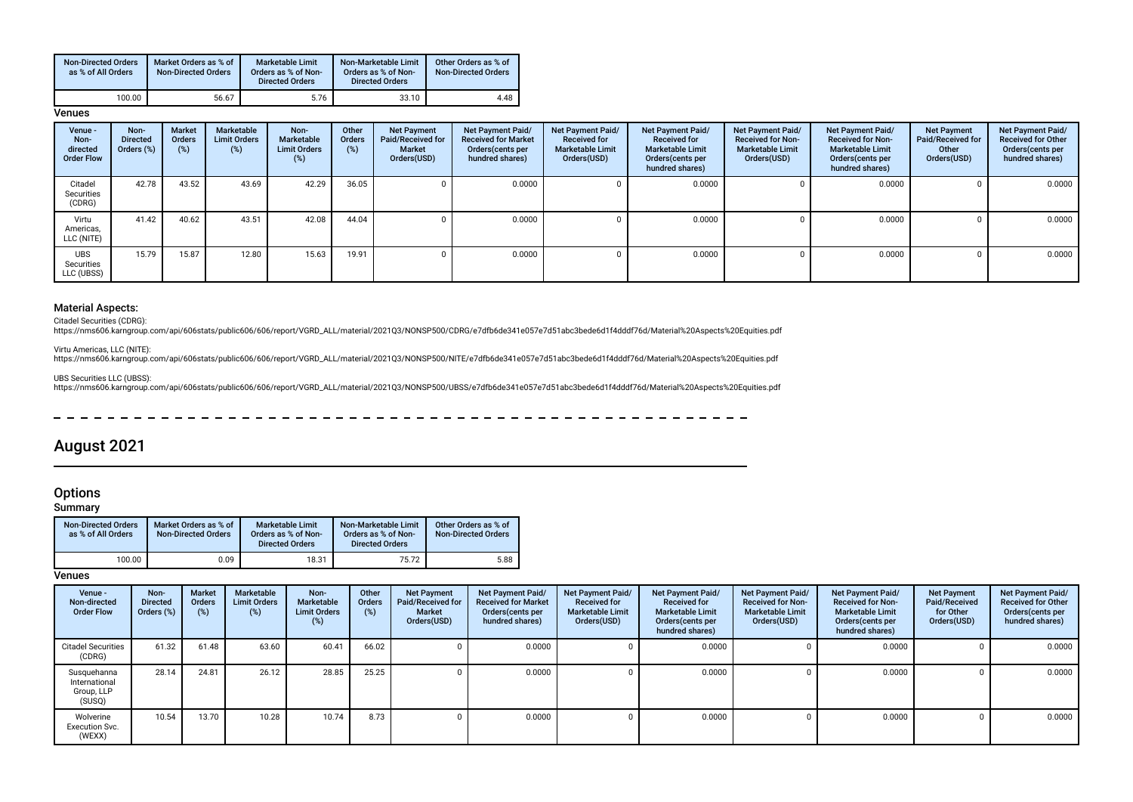| <b>Non-Directed Orders</b><br>as % of All Orders | Market Orders as % of<br><b>Non-Directed Orders</b> | <b>Marketable Limit</b><br>Orders as % of Non-<br><b>Directed Orders</b> | Non-Marketable Limit<br>Orders as % of Non-<br><b>Directed Orders</b> | Other Orders as % of<br><b>Non-Directed Orders</b> |
|--------------------------------------------------|-----------------------------------------------------|--------------------------------------------------------------------------|-----------------------------------------------------------------------|----------------------------------------------------|
| 100.00                                           | 56.67                                               | 5.76                                                                     | 33.10                                                                 | 4.48                                               |

#### **Venues**

| Venue -<br>Non-<br>directed<br><b>Order Flow</b> | Non-<br><b>Directed</b><br>Orders (%) | <b>Market</b><br>Orders<br>(%) | Marketable<br><b>Limit Orders</b><br>$(\%)$ | Non-<br><b>Marketable</b><br><b>Limit Orders</b><br>$(\%)$ | Other<br>Orders<br>(%) | <b>Net Payment</b><br>Paid/Received for<br><b>Market</b><br>Orders(USD) | <b>Net Payment Paid/</b><br><b>Received for Market</b><br>Orders (cents per<br>hundred shares) | Net Payment Paid/<br><b>Received for</b><br><b>Marketable Limit</b><br>Orders(USD) | Net Payment Paid/<br><b>Received for</b><br><b>Marketable Limit</b><br>Orders(cents per<br>hundred shares) | Net Payment Paid/<br><b>Received for Non-</b><br><b>Marketable Limit</b><br>Orders(USD) | Net Payment Paid/<br><b>Received for Non-</b><br><b>Marketable Limit</b><br>Orders (cents per<br>hundred shares) | <b>Net Payment</b><br>Paid/Received for<br>Other<br>Orders(USD) | <b>Net Payment Paid/</b><br><b>Received for Other</b><br>Orders (cents per<br>hundred shares) |
|--------------------------------------------------|---------------------------------------|--------------------------------|---------------------------------------------|------------------------------------------------------------|------------------------|-------------------------------------------------------------------------|------------------------------------------------------------------------------------------------|------------------------------------------------------------------------------------|------------------------------------------------------------------------------------------------------------|-----------------------------------------------------------------------------------------|------------------------------------------------------------------------------------------------------------------|-----------------------------------------------------------------|-----------------------------------------------------------------------------------------------|
| Citadel<br>Securities<br>(CDRG)                  | 42.78                                 | 43.52                          | 43.69                                       | 42.29                                                      | 36.05                  |                                                                         | 0.0000                                                                                         |                                                                                    | 0.0000                                                                                                     |                                                                                         | 0.0000                                                                                                           | 0                                                               | 0.0000                                                                                        |
| Virtu<br>Americas,<br>LLC (NITE)                 | 41.42                                 | 40.62                          | 43.51                                       | 42.08                                                      | 44.04                  |                                                                         | 0.0000                                                                                         |                                                                                    | 0.0000                                                                                                     |                                                                                         | 0.0000                                                                                                           | <sup>n</sup>                                                    | 0.0000                                                                                        |
| <b>UBS</b><br>Securities<br>LLC (UBSS)           | 15.79                                 | 15.87                          | 12.80                                       | 15.63                                                      | 19.91                  |                                                                         | 0.0000                                                                                         |                                                                                    | 0.0000                                                                                                     |                                                                                         | 0.0000                                                                                                           | <sup>n</sup>                                                    | 0.0000                                                                                        |

### Material Aspects:

Citadel Securities (CDRG):<br>https://nms606.karngroup.com/api/606stats/public606/606/report/VGRD\_ALL/material/2021Q3/NONSP500/CDRG/e7dfb6de341e057e7d51abc3bede6d1f4dddf76d/Material%20Aspects%20Equities.pdf

Virtu Americas, LLC (NITE):

https://nms606.karngroup.com/api/606stats/public606/606/report/VGRD\_ALL/material/2021Q3/NONSP500/NITE/e7dfb6de341e057e7d51abc3bede6d1f4dddf76d/Material%20Aspects%20Equities.pdf

UBS Securities LLC (UBSS):

https://nms606.karngroup.com/api/606stats/public606/606/report/VGRD\_ALL/material/2021Q3/NONSP500/UBSS/e7dfb6de341e057e7d51abc3bede6d1f4dddf76d/Material%20Aspects%20Equities.pdf

 $\frac{1}{2}$  $\overline{\phantom{0}}$  $\overline{\phantom{0}}$ 

## August 2021

## **Options**

Summary

| <b>Non-Directed Orders</b><br>as % of All Orders | Market Orders as % of<br><b>Non-Directed Orders</b> | <b>Marketable Limit</b><br>Orders as % of Non-<br><b>Directed Orders</b> | Non-Marketable Limit<br>Orders as % of Non-<br><b>Directed Orders</b> | Other Orders as % of<br><b>Non-Directed Orders</b> |
|--------------------------------------------------|-----------------------------------------------------|--------------------------------------------------------------------------|-----------------------------------------------------------------------|----------------------------------------------------|
| 100.00                                           | 0.09                                                | 18.31                                                                    | 75.72                                                                 | 5.88                                               |

**Venues** 

| Venue -<br>Non-directed<br><b>Order Flow</b>         | Non-<br><b>Directed</b><br>Orders (%) | <b>Market</b><br><b>Orders</b><br>(%) | Marketable<br><b>Limit Orders</b><br>(%) | Non-<br>Marketable<br><b>Limit Orders</b><br>(%) | Other<br><b>Orders</b><br>$(\%)$ | <b>Net Payment</b><br>Paid/Received for<br><b>Market</b><br>Orders(USD) | <b>Net Payment Paid/</b><br><b>Received for Market</b><br>Orders (cents per<br>hundred shares) | Net Payment Paid/<br><b>Received for</b><br><b>Marketable Limit</b><br>Orders(USD) | Net Payment Paid/<br><b>Received for</b><br><b>Marketable Limit</b><br>Orders (cents per<br>hundred shares) | Net Payment Paid/<br><b>Received for Non-</b><br><b>Marketable Limit</b><br>Orders(USD) | Net Payment Paid/<br><b>Received for Non-</b><br><b>Marketable Limit</b><br>Orders (cents per<br>hundred shares) | <b>Net Payment</b><br>Paid/Received<br>for Other<br>Orders(USD) | Net Payment Paid/<br><b>Received for Other</b><br>Orders(cents per<br>hundred shares) |
|------------------------------------------------------|---------------------------------------|---------------------------------------|------------------------------------------|--------------------------------------------------|----------------------------------|-------------------------------------------------------------------------|------------------------------------------------------------------------------------------------|------------------------------------------------------------------------------------|-------------------------------------------------------------------------------------------------------------|-----------------------------------------------------------------------------------------|------------------------------------------------------------------------------------------------------------------|-----------------------------------------------------------------|---------------------------------------------------------------------------------------|
| <b>Citadel Securities</b><br>(CDRG)                  | 61.32                                 | 61.48                                 | 63.60                                    | 60.41                                            | 66.02                            |                                                                         | 0.0000                                                                                         |                                                                                    | 0.0000                                                                                                      |                                                                                         | 0.0000                                                                                                           |                                                                 | 0.0000                                                                                |
| Susquehanna<br>International<br>Group, LLP<br>(SUSQ) | 28.14                                 | 24.81                                 | 26.12                                    | 28.85                                            | 25.25                            |                                                                         | 0.0000                                                                                         |                                                                                    | 0.0000                                                                                                      |                                                                                         | 0.0000                                                                                                           |                                                                 | 0.0000                                                                                |
| Wolverine<br>Execution Svc.<br>(WEXX)                | 10.54                                 | 13.70                                 | 10.28                                    | 10.74                                            | 8.73                             |                                                                         | 0.0000                                                                                         |                                                                                    | 0.0000                                                                                                      |                                                                                         | 0.0000                                                                                                           |                                                                 | 0.0000                                                                                |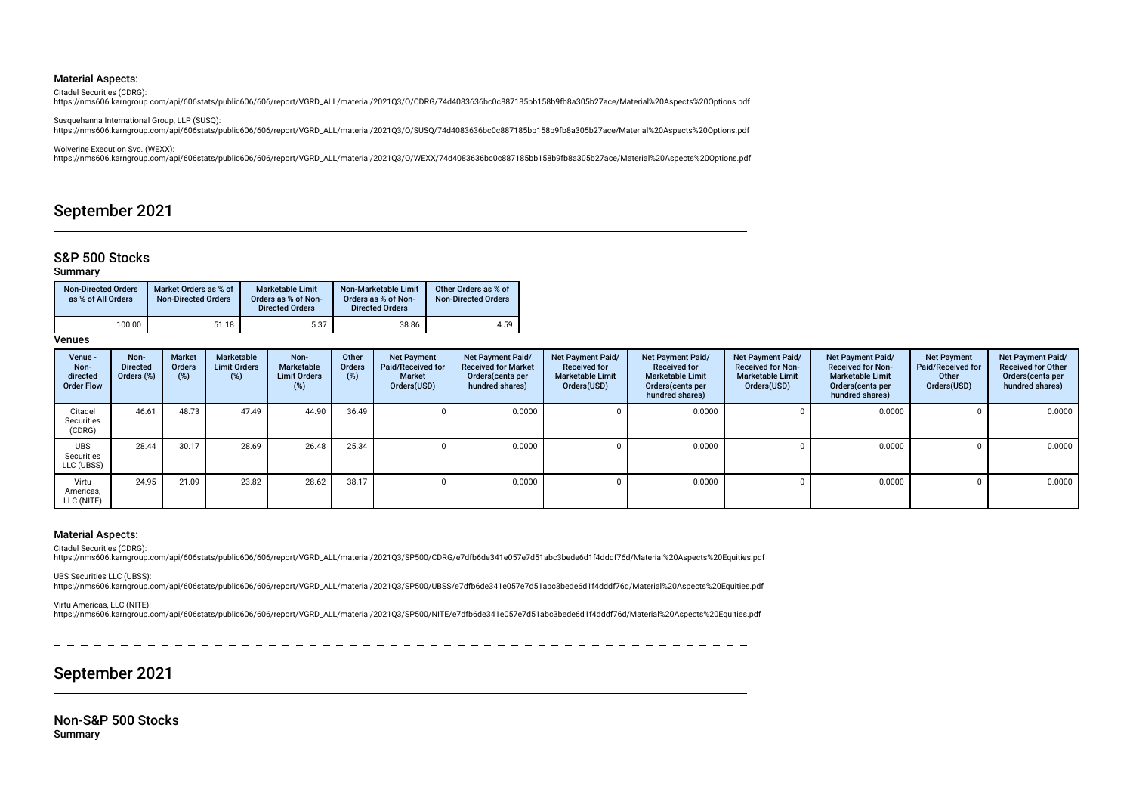#### Material Aspects:

Citadel Securities (CDRG):

https://nms606.karngroup.com/api/606stats/public606/606/report/VGRD\_ALL/material/2021Q3/O/CDRG/74d4083636bc0c887185bb158b9fb8a305b27ace/Material%20Aspects%20Options.pdf

Susquehanna International Group, LLP (SUSQ): https://nms606.karngroup.com/api/606stats/public606/606/report/VGRD\_ALL/material/2021Q3/O/SUSQ/74d4083636bc0c887185bb158b9fb8a305b27ace/Material%20Aspects%20Options.pdf

Wolverine Execution Svc. (WEXX):

https://nms606.karngroup.com/api/606stats/public606/606/report/VGRD\_ALL/material/2021Q3/O/WEXX/74d4083636bc0c887185bb158b9fb8a305b27ace/Material%20Aspects%20Options.pdf

## September 2021

### S&P 500 Stocks

### Summary

| <b>Non-Directed Orders</b><br>as % of All Orders | Market Orders as % of<br><b>Non-Directed Orders</b> | Marketable Limit<br>Orders as % of Non-<br><b>Directed Orders</b> | Non-Marketable Limit<br>Orders as % of Non-<br><b>Directed Orders</b> | Other Orders as % of<br><b>Non-Directed Orders</b> |  |  |
|--------------------------------------------------|-----------------------------------------------------|-------------------------------------------------------------------|-----------------------------------------------------------------------|----------------------------------------------------|--|--|
| 100.00                                           | 51.18                                               | 5.37                                                              | 38.86                                                                 | 4.59                                               |  |  |

Venues

| Venue -<br>Non-<br>directed<br><b>Order Flow</b> | Non-<br><b>Directed</b><br>Orders (%) | Market<br><b>Orders</b><br>(%) | Marketable<br><b>Limit Orders</b><br>$(\%)$ | Non-<br>Marketable<br><b>Limit Orders</b><br>(%) | Other<br>Orders<br>(%) | <b>Net Payment</b><br>Paid/Received for<br><b>Market</b><br>Orders(USD) | <b>Net Payment Paid/</b><br><b>Received for Market</b><br>Orders(cents per<br>hundred shares) | Net Payment Paid/<br><b>Received for</b><br><b>Marketable Limit</b><br>Orders(USD) | Net Payment Paid/<br><b>Received for</b><br><b>Marketable Limit</b><br>Orders(cents per<br>hundred shares) | Net Payment Paid/<br><b>Received for Non-</b><br><b>Marketable Limit</b><br>Orders(USD) | Net Payment Paid/<br><b>Received for Non-</b><br><b>Marketable Limit</b><br>Orders (cents per<br>hundred shares) | <b>Net Payment</b><br>Paid/Received for<br>Other<br>Orders(USD) | Net Payment Paid/<br><b>Received for Other</b><br>Orders(cents per<br>hundred shares) |
|--------------------------------------------------|---------------------------------------|--------------------------------|---------------------------------------------|--------------------------------------------------|------------------------|-------------------------------------------------------------------------|-----------------------------------------------------------------------------------------------|------------------------------------------------------------------------------------|------------------------------------------------------------------------------------------------------------|-----------------------------------------------------------------------------------------|------------------------------------------------------------------------------------------------------------------|-----------------------------------------------------------------|---------------------------------------------------------------------------------------|
| Citadel<br>Securities<br>(CDRG)                  | 46.61                                 | 48.73                          | 47.49                                       | 44.90                                            | 36.49                  |                                                                         | 0.0000                                                                                        |                                                                                    | 0.0000                                                                                                     |                                                                                         | 0.0000                                                                                                           |                                                                 | 0.0000                                                                                |
| <b>UBS</b><br>Securities<br>LLC (UBSS)           | 28.44                                 | 30.17                          | 28.69                                       | 26.48                                            | 25.34                  |                                                                         | 0.0000                                                                                        |                                                                                    | 0.0000                                                                                                     |                                                                                         | 0.0000                                                                                                           |                                                                 | 0.0000                                                                                |
| Virtu<br>Americas,<br>LLC (NITE)                 | 24.95                                 | 21.09                          | 23.82                                       | 28.62                                            | 38.17                  |                                                                         | 0.0000                                                                                        |                                                                                    | 0.0000                                                                                                     |                                                                                         | 0.0000                                                                                                           |                                                                 | 0.0000                                                                                |

#### Material Aspects:

Citadel Securities (CDRG):

https://nms606.karngroup.com/api/606stats/public606/606/report/VGRD\_ALL/material/2021Q3/SP500/CDRG/e7dfb6de341e057e7d51abc3bede6d1f4dddf76d/Material%20Aspects%20Equities.pdf

UBS Securities LLC (UBSS):

https://nms606.karngroup.com/api/606stats/public606/606/report/VGRD\_ALL/material/2021Q3/SP500/UBSS/e7dfb6de341e057e7d51abc3bede6d1f4dddf76d/Material%20Aspects%20Equities.pdf

#### Virtu Americas, LLC (NITE):

https://nms606.karngroup.com/api/606stats/public606/606/report/VGRD\_ALL/material/2021Q3/SP500/NITE/e7dfb6de341e057e7d51abc3bede6d1f4dddf76d/Material%20Aspects%20Equities.pdf

September 2021

Non-S&P 500 Stocks Summary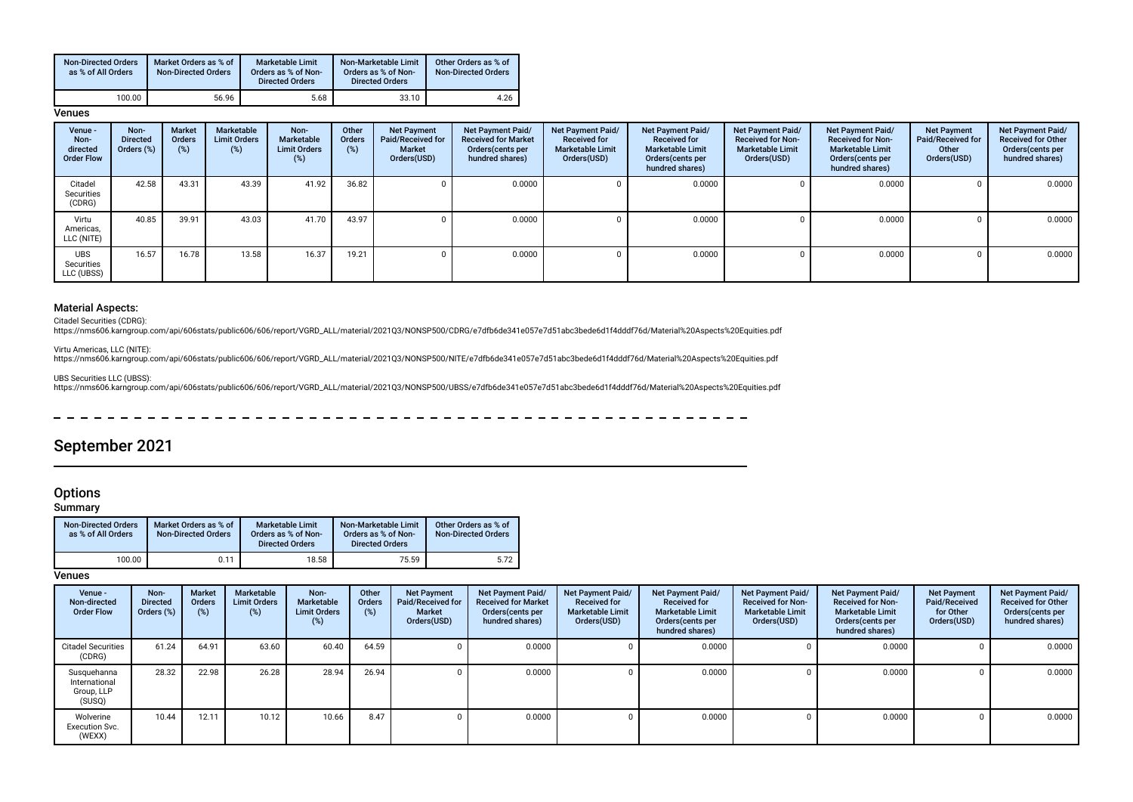| <b>Non-Directed Orders</b><br>as % of All Orders | Market Orders as % of<br><b>Non-Directed Orders</b> | <b>Marketable Limit</b><br>Orders as % of Non-<br><b>Directed Orders</b> | Non-Marketable Limit<br>Orders as % of Non-<br><b>Directed Orders</b> | Other Orders as % of<br><b>Non-Directed Orders</b> |  |  |
|--------------------------------------------------|-----------------------------------------------------|--------------------------------------------------------------------------|-----------------------------------------------------------------------|----------------------------------------------------|--|--|
| 100.00                                           | 56.96                                               | 5.68                                                                     | 33.10                                                                 | 4.26                                               |  |  |

#### **Venues**

| Venue -<br>Non-<br>directed<br><b>Order Flow</b> | Non-<br><b>Directed</b><br>Orders (%) | <b>Market</b><br>Orders<br>(%) | Marketable<br><b>Limit Orders</b><br>$(\%)$ | Non-<br><b>Marketable</b><br><b>Limit Orders</b><br>$(\%)$ | Other<br>Orders<br>(%) | <b>Net Payment</b><br>Paid/Received for<br><b>Market</b><br>Orders(USD) | <b>Net Payment Paid/</b><br><b>Received for Market</b><br>Orders (cents per<br>hundred shares) | Net Payment Paid/<br><b>Received for</b><br><b>Marketable Limit</b><br>Orders(USD) | Net Payment Paid/<br><b>Received for</b><br><b>Marketable Limit</b><br>Orders(cents per<br>hundred shares) | Net Payment Paid/<br><b>Received for Non-</b><br><b>Marketable Limit</b><br>Orders(USD) | Net Payment Paid/<br><b>Received for Non-</b><br><b>Marketable Limit</b><br>Orders (cents per<br>hundred shares) | <b>Net Payment</b><br>Paid/Received for<br>Other<br>Orders(USD) | <b>Net Payment Paid/</b><br><b>Received for Other</b><br>Orders (cents per<br>hundred shares) |
|--------------------------------------------------|---------------------------------------|--------------------------------|---------------------------------------------|------------------------------------------------------------|------------------------|-------------------------------------------------------------------------|------------------------------------------------------------------------------------------------|------------------------------------------------------------------------------------|------------------------------------------------------------------------------------------------------------|-----------------------------------------------------------------------------------------|------------------------------------------------------------------------------------------------------------------|-----------------------------------------------------------------|-----------------------------------------------------------------------------------------------|
| Citadel<br>Securities<br>(CDRG)                  | 42.58                                 | 43.31                          | 43.39                                       | 41.92                                                      | 36.82                  |                                                                         | 0.0000                                                                                         |                                                                                    | 0.0000                                                                                                     |                                                                                         | 0.0000                                                                                                           | 0                                                               | 0.0000                                                                                        |
| Virtu<br>Americas,<br>LLC (NITE)                 | 40.85                                 | 39.91                          | 43.03                                       | 41.70                                                      | 43.97                  |                                                                         | 0.0000                                                                                         |                                                                                    | 0.0000                                                                                                     |                                                                                         | 0.0000                                                                                                           | <sup>n</sup>                                                    | 0.0000                                                                                        |
| <b>UBS</b><br>Securities<br>LLC (UBSS)           | 16.57                                 | 16.78                          | 13.58                                       | 16.37                                                      | 19.21                  |                                                                         | 0.0000                                                                                         |                                                                                    | 0.0000                                                                                                     |                                                                                         | 0.0000                                                                                                           | <sup>n</sup>                                                    | 0.0000                                                                                        |

### Material Aspects:

Citadel Securities (CDRG):<br>https://nms606.karngroup.com/api/606stats/public606/606/report/VGRD\_ALL/material/2021Q3/NONSP500/CDRG/e7dfb6de341e057e7d51abc3bede6d1f4dddf76d/Material%20Aspects%20Equities.pdf

Virtu Americas, LLC (NITE):

https://nms606.karngroup.com/api/606stats/public606/606/report/VGRD\_ALL/material/2021Q3/NONSP500/NITE/e7dfb6de341e057e7d51abc3bede6d1f4dddf76d/Material%20Aspects%20Equities.pdf

UBS Securities LLC (UBSS):

https://nms606.karngroup.com/api/606stats/public606/606/report/VGRD\_ALL/material/2021Q3/NONSP500/UBSS/e7dfb6de341e057e7d51abc3bede6d1f4dddf76d/Material%20Aspects%20Equities.pdf

 $\frac{1}{2}$  $\overline{\phantom{0}}$  $\overline{\phantom{0}}$ 

## September 2021

## **Options**

Summary

| <b>Non-Directed Orders</b><br>as % of All Orders | Market Orders as % of<br><b>Non-Directed Orders</b> | <b>Marketable Limit</b><br>Orders as % of Non-<br><b>Directed Orders</b> | Non-Marketable Limit<br>Orders as % of Non-<br><b>Directed Orders</b> | Other Orders as % of<br><b>Non-Directed Orders</b> |  |  |
|--------------------------------------------------|-----------------------------------------------------|--------------------------------------------------------------------------|-----------------------------------------------------------------------|----------------------------------------------------|--|--|
| 100.00                                           | 0.11                                                | 18.58                                                                    | 75.59                                                                 | 5.72                                               |  |  |

**Venues** 

| Venue -<br>Non-directed<br><b>Order Flow</b>         | Non-<br><b>Directed</b><br>Orders (%) | <b>Market</b><br><b>Orders</b><br>(%) | <b>Marketable</b><br><b>Limit Orders</b><br>(%) | Non-<br>Marketable<br><b>Limit Orders</b><br>(%) | Other<br><b>Orders</b><br>$(\%)$ | <b>Net Payment</b><br>Paid/Received for<br><b>Market</b><br>Orders(USD) | Net Payment Paid/<br><b>Received for Market</b><br>Orders (cents per<br>hundred shares) | Net Payment Paid/<br><b>Received for</b><br><b>Marketable Limit</b><br>Orders(USD) | Net Payment Paid/<br><b>Received for</b><br><b>Marketable Limit</b><br>Orders (cents per<br>hundred shares) | Net Payment Paid/<br><b>Received for Non-</b><br><b>Marketable Limit</b><br>Orders(USD) | Net Payment Paid/<br><b>Received for Non-</b><br><b>Marketable Limit</b><br>Orders (cents per<br>hundred shares) | <b>Net Payment</b><br>Paid/Received<br>for Other<br>Orders(USD) | Net Payment Paid/<br><b>Received for Other</b><br>Orders(cents per<br>hundred shares) |
|------------------------------------------------------|---------------------------------------|---------------------------------------|-------------------------------------------------|--------------------------------------------------|----------------------------------|-------------------------------------------------------------------------|-----------------------------------------------------------------------------------------|------------------------------------------------------------------------------------|-------------------------------------------------------------------------------------------------------------|-----------------------------------------------------------------------------------------|------------------------------------------------------------------------------------------------------------------|-----------------------------------------------------------------|---------------------------------------------------------------------------------------|
| <b>Citadel Securities</b><br>(CDRG)                  | 61.24                                 | 64.91                                 | 63.60                                           | 60.40                                            | 64.59                            |                                                                         | 0.0000                                                                                  |                                                                                    | 0.0000                                                                                                      |                                                                                         | 0.0000                                                                                                           |                                                                 | 0.0000                                                                                |
| Susquehanna<br>International<br>Group, LLP<br>(SUSQ) | 28.32                                 | 22.98                                 | 26.28                                           | 28.94                                            | 26.94                            |                                                                         | 0.0000                                                                                  |                                                                                    | 0.0000                                                                                                      |                                                                                         | 0.0000                                                                                                           |                                                                 | 0.0000                                                                                |
| Wolverine<br><b>Execution Svc.</b><br>(WEXX)         | 10.44                                 | 12.11                                 | 10.12                                           | 10.66                                            | 8.47                             |                                                                         | 0.0000                                                                                  |                                                                                    | 0.0000                                                                                                      |                                                                                         | 0.0000                                                                                                           |                                                                 | 0.0000                                                                                |